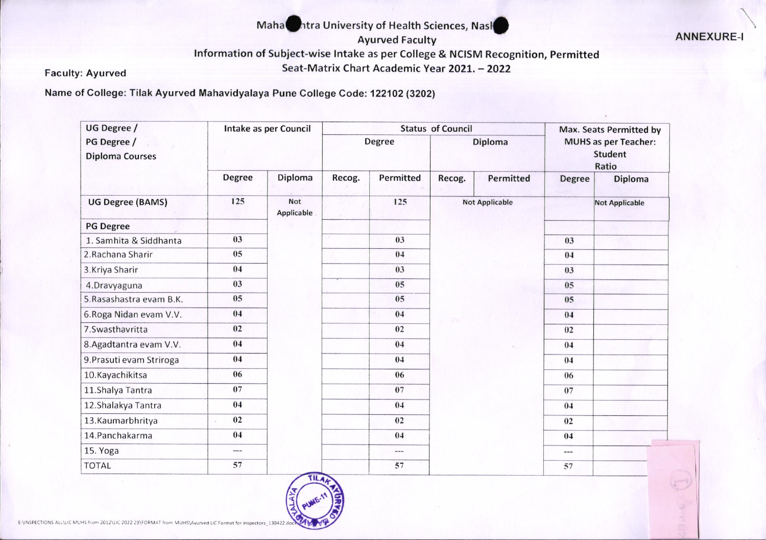## Mahanhtra University of Health Sciences, Nasl

**Ayurved Faculty** 

**ANNEXURE-**

Information of Subject-wise Intake as per College & NCISM Recognition, Permitted

Seat-Matrix Chart Academic Year 2021. - 2022

**Faculty: Ayurved** 

Name of College: Tilak Ayurved Mahavidyalaya Pune College Code: 122102 (3202)

| UG Degree /                           | Intake as per Council |                          |        | <b>Status of Council</b> | Max. Seats Permitted by<br><b>MUHS</b> as per Teacher:<br><b>Student</b><br>Ratio |                       |                |                       |
|---------------------------------------|-----------------------|--------------------------|--------|--------------------------|-----------------------------------------------------------------------------------|-----------------------|----------------|-----------------------|
| PG Degree /<br><b>Diploma Courses</b> |                       |                          | Degree |                          |                                                                                   |                       | <b>Diploma</b> |                       |
|                                       | <b>Degree</b>         | Diploma                  | Recog. | Permitted                | Recog.                                                                            | Permitted             | <b>Degree</b>  | Diploma               |
| <b>UG Degree (BAMS)</b>               | 125                   | <b>Not</b><br>Applicable |        | 125                      |                                                                                   | <b>Not Applicable</b> |                | <b>Not Applicable</b> |
| <b>PG Degree</b>                      |                       |                          |        |                          |                                                                                   |                       |                |                       |
| 1. Samhita & Siddhanta                | 03                    |                          |        | 03                       |                                                                                   |                       | 03             |                       |
| 2. Rachana Sharir                     | 05                    |                          |        | 04                       |                                                                                   |                       | 04             |                       |
| 3. Kriya Sharir                       | 04                    |                          |        | 03                       |                                                                                   |                       | 03             |                       |
| 4.Dravyaguna                          | 03                    |                          |        | 05                       |                                                                                   |                       | 05             |                       |
| 5. Rasashastra evam B.K.              | 05                    |                          |        | 05                       |                                                                                   | 05                    |                |                       |
| 6. Roga Nidan evam V.V.               | 04                    |                          |        | 04                       |                                                                                   | 04                    |                |                       |
| 7.Swasthavritta                       | 02                    |                          |        | 02                       |                                                                                   | 02                    |                |                       |
| 8. Agadtantra evam V.V.               | 04                    |                          |        | 04                       |                                                                                   |                       | 04             |                       |
| 9. Prasuti evam Striroga              | 04                    |                          |        | 04                       |                                                                                   |                       | 04             |                       |
| 10.Kayachikitsa                       | 06                    |                          |        | 06                       |                                                                                   |                       | 06             |                       |
| 11.Shalya Tantra                      | 07                    |                          |        | 07                       |                                                                                   |                       | 07             |                       |
| 12.Shalakya Tantra                    | 04                    |                          |        | 04                       |                                                                                   |                       | 04             |                       |
| 13.Kaumarbhritya                      | 02                    |                          |        | 02                       |                                                                                   |                       | 02             |                       |
| 14. Panchakarma                       | 04                    |                          |        | 04                       |                                                                                   |                       | 04             |                       |
| 15. Yoga                              | $\cdots$              |                          |        | $---$                    |                                                                                   |                       | $\cdots$       |                       |
| <b>TOTAL</b>                          | 57                    |                          |        | 57                       |                                                                                   |                       | 57             |                       |